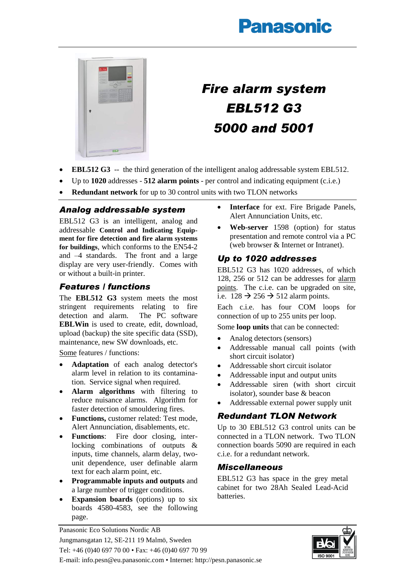# **Panasonic**



# *Fire alarm system EBL512 G3 5000 and 5001*

- **EBL512 G3** -- the third generation of the intelligent analog addressable system EBL512.
- Up to **1020** addresses **512 alarm points** per control and indicating equipment (c.i.e.)
- **Redundant network** for up to 30 control units with two TLON networks

#### *Analog addressable system*

EBL512 G3 is an intelligent, analog and addressable **Control and Indicating Equipment for fire detection and fire alarm systems for buildings**, which conforms to the EN54-2 and –4 standards. The front and a large display are very user-friendly. Comes with or without a built-in printer.

## *Features / functions*

The **EBL512 G3** system meets the most stringent requirements relating to fire<br>detection and alarm. The PC software detection and alarm. **EBLWin** is used to create, edit, download, upload (backup) the site specific data (SSD), maintenance, new SW downloads, etc.

Some features / functions:

- **Adaptation** of each analog detector's alarm level in relation to its contamination. Service signal when required.
- **Alarm algorithms** with filtering to reduce nuisance alarms. Algorithm for faster detection of smouldering fires.
- **Functions,** customer related: Test mode, Alert Annunciation, disablements, etc.
- **Functions**: Fire door closing, interlocking combinations of outputs & inputs, time channels, alarm delay, twounit dependence, user definable alarm text for each alarm point, etc.
- **Programmable inputs and outputs** and a large number of trigger conditions.
- **Expansion boards** (options) up to six boards 4580-4583, see the following page.
- **Interface** for ext. Fire Brigade Panels, Alert Annunciation Units, etc.
- **Web-server** 1598 (option) for status presentation and remote control via a PC (web browser & Internet or Intranet).

#### *Up to 1020 addresses*

EBL512 G3 has 1020 addresses, of which 128, 256 or 512 can be addresses for alarm points. The c.i.e. can be upgraded on site, i.e.  $128 \rightarrow 256 \rightarrow 512$  alarm points.

Each c.i.e. has four COM loops for connection of up to 255 units per loop.

Some **loop units** that can be connected:

- Analog detectors (sensors)
- Addressable manual call points (with short circuit isolator)
- Addressable short circuit isolator
- Addressable input and output units
- Addressable siren (with short circuit isolator), sounder base & beacon
- Addressable external power supply unit

## *Redundant TLON Network*

Up to 30 EBL512 G3 control units can be connected in a TLON network. Two TLON connection boards 5090 are required in each c.i.e. for a redundant network.

#### *Miscellaneous*

EBL512 G3 has space in the grey metal cabinet for two 28Ah Sealed Lead-Acid batteries.



Panasonic Eco Solutions Nordic AB Jungmansgatan 12, SE-211 19 Malmö, Sweden Tel: +46 (0)40 697 70 00 • Fax: +46 (0)40 697 70 99 E-mail: info.pesn@eu.panasonic.com • Internet: http://pesn.panasonic.se